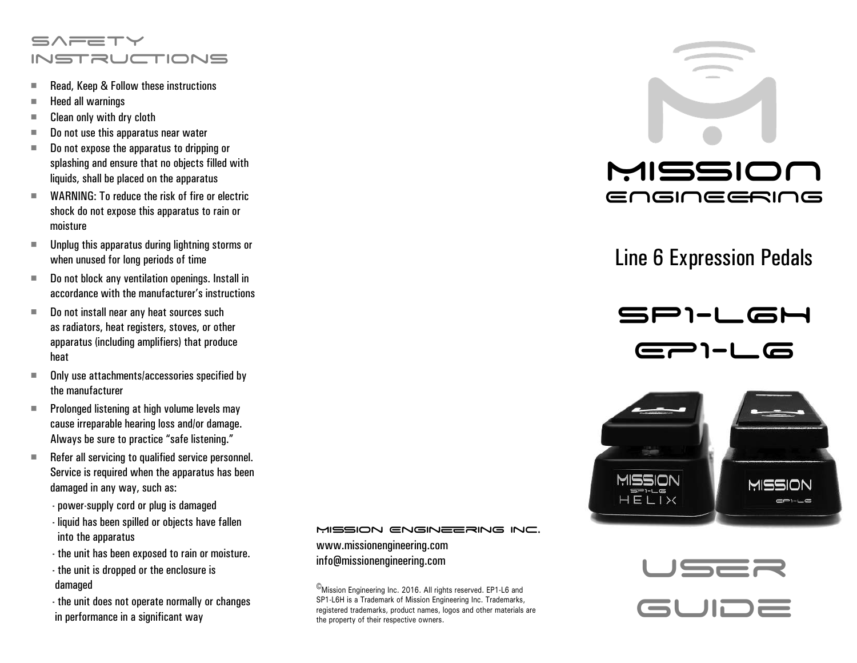# $S \wedge \equiv T \vee T$ **INSTRUCTIONS**

- Read, Keep & Follow these instructions
- $\blacksquare$  Heed all warnings
- $\blacksquare$  Clean only with dry cloth
- Do not use this apparatus near water
- Do not expose the apparatus to dripping or splashing and ensure that no objects filled with liquids, shall be placed on the apparatus
- $\blacksquare$  WARNING: To reduce the risk of fire or electric shock do not expose this apparatus to rain or moisture
- $\blacksquare$  Unplug this apparatus during lightning storms or when unused for long periods of time
- Do not block any ventilation openings. Install in accordance with the manufacturer's instructions
- $\blacksquare$  Do not install near any heat sources such as radiators, heat registers, stoves, or other apparatus (including amplifiers) that produce heat
- Only use attachments/accessories specified by the manufacturer
- $\blacksquare$  Prolonged listening at high volume levels may cause irreparable hearing loss and/or damage. Always be sure to practice "safe listening."
- Refer all servicing to qualified service personnel. Service is required when the apparatus has been damaged in any way, such as:
	- power-supply cord or plug is damaged
	- liquid has been spilled or objects have fallen into the apparatus
	- the unit has been exposed to rain or moisture.
	- the unit is dropped or the enclosure is damaged
	- the unit does not operate normally or changes in performance in a significant way

### MISSION ENGINEERING INC.

www.missionengineering.com info@missionengineering.com

©Mission Engineering Inc. 2016. All rights reserved. EP1-L6 and SP1-L6H is a Trademark of Mission Engineering Inc. Trademarks, registered trademarks, product names, logos and other materials are the property of their respective owners.



# Line 6 Expression Pedals

SP1-L6H - 1-L6